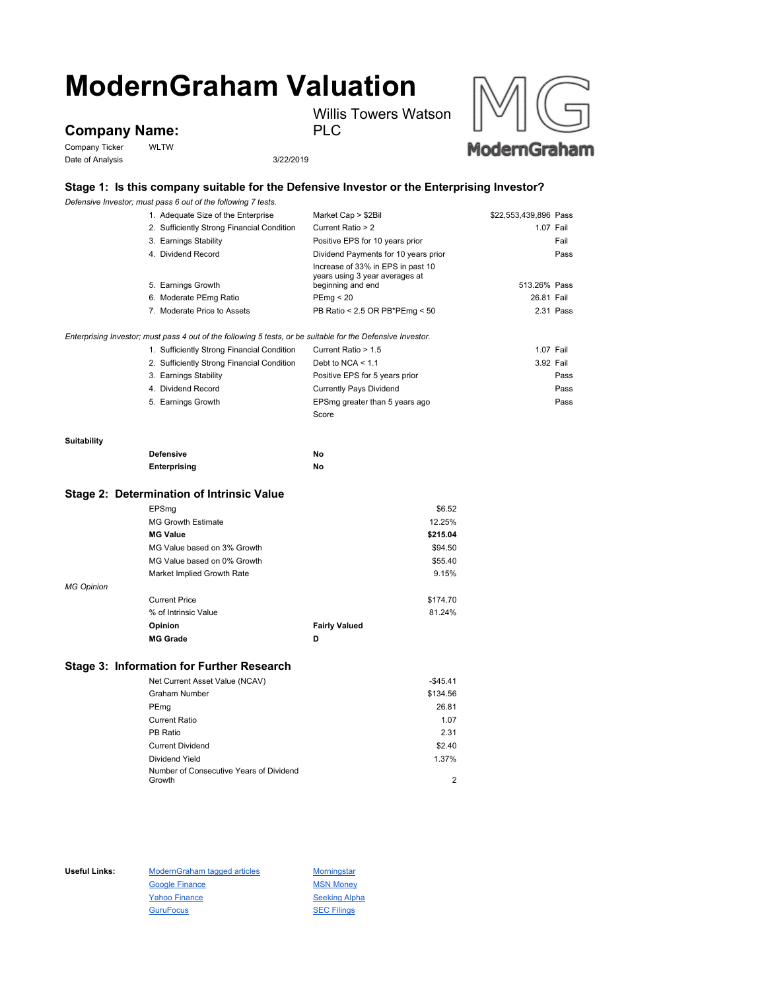# **ModernGraham Valuation** Willis Towers Watson

**Company Name:**

Company Ticker WLTW Date of Analysis 3/22/2019

PLC



## **Stage 1: Is this company suitable for the Defensive Investor or the Enterprising Investor?**

*Defensive Investor; must pass 6 out of the following 7 tests.*

|                    | 1. Adequate Size of the Enterprise                                                                          | Market Cap > \$2Bil                                                                      | \$22,553,439,896 Pass |           |
|--------------------|-------------------------------------------------------------------------------------------------------------|------------------------------------------------------------------------------------------|-----------------------|-----------|
|                    | 2. Sufficiently Strong Financial Condition                                                                  | Current Ratio > 2                                                                        |                       | 1.07 Fail |
|                    | 3. Earnings Stability                                                                                       | Positive EPS for 10 years prior                                                          |                       | Fail      |
|                    | 4. Dividend Record                                                                                          | Dividend Payments for 10 years prior                                                     |                       | Pass      |
|                    | 5. Earnings Growth                                                                                          | Increase of 33% in EPS in past 10<br>years using 3 year averages at<br>beginning and end | 513.26% Pass          |           |
|                    | 6. Moderate PEmg Ratio                                                                                      | PEmg < 20                                                                                | 26.81 Fail            |           |
|                    | 7. Moderate Price to Assets                                                                                 | PB Ratio < 2.5 OR PB*PEmg < 50                                                           |                       | 2.31 Pass |
|                    |                                                                                                             |                                                                                          |                       |           |
|                    | Enterprising Investor; must pass 4 out of the following 5 tests, or be suitable for the Defensive Investor. |                                                                                          |                       |           |
|                    | 1. Sufficiently Strong Financial Condition                                                                  | Current Ratio > 1.5                                                                      |                       | 1.07 Fail |
|                    | 2. Sufficiently Strong Financial Condition                                                                  | Debt to NCA $<$ 1.1                                                                      |                       | 3.92 Fail |
|                    | 3. Earnings Stability                                                                                       | Positive EPS for 5 years prior                                                           |                       | Pass      |
|                    | 4. Dividend Record                                                                                          | <b>Currently Pays Dividend</b>                                                           |                       | Pass      |
|                    | 5. Earnings Growth                                                                                          | EPSmg greater than 5 years ago                                                           |                       | Pass      |
|                    |                                                                                                             | Score                                                                                    |                       |           |
|                    |                                                                                                             |                                                                                          |                       |           |
| <b>Suitability</b> |                                                                                                             |                                                                                          |                       |           |
|                    | <b>Defensive</b>                                                                                            | No                                                                                       |                       |           |
|                    | Enterprising                                                                                                | No                                                                                       |                       |           |

#### **Stage 2: Determination of Intrinsic Value**

|                   | EPSmg                       |                      | \$6.52   |
|-------------------|-----------------------------|----------------------|----------|
|                   | <b>MG Growth Estimate</b>   |                      | 12.25%   |
|                   | <b>MG Value</b>             |                      | \$215.04 |
|                   | MG Value based on 3% Growth |                      | \$94.50  |
|                   | MG Value based on 0% Growth |                      | \$55.40  |
|                   | Market Implied Growth Rate  |                      | 9.15%    |
| <b>MG Opinion</b> |                             |                      |          |
|                   | <b>Current Price</b>        |                      | \$174.70 |
|                   | % of Intrinsic Value        |                      | 81.24%   |
|                   | Opinion                     | <b>Fairly Valued</b> |          |
|                   | <b>MG Grade</b>             | D                    |          |

## **Stage 3: Information for Further Research**

| Net Current Asset Value (NCAV)          | $-$45.41$ |
|-----------------------------------------|-----------|
| <b>Graham Number</b>                    | \$134.56  |
| PEmg                                    | 26.81     |
| Current Ratio                           | 1.07      |
| PB Ratio                                | 2.31      |
| <b>Current Dividend</b>                 | \$2.40    |
| Dividend Yield                          | 1.37%     |
| Number of Consecutive Years of Dividend |           |
| Growth                                  | 2         |

Useful Links: ModernGraham tagged articles Morningstar Google Finance MSN Money Yahoo Finance Seeking Alpha GuruFocus **SEC Filings**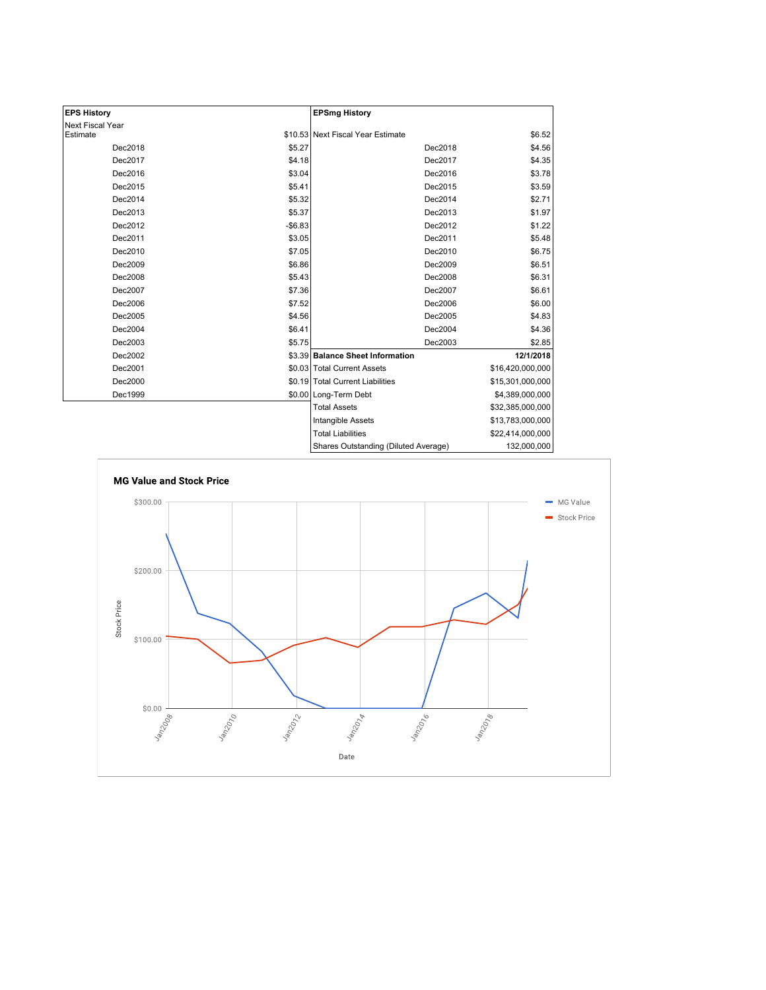| <b>EPS History</b>      |          | <b>EPSmg History</b>                 |                  |
|-------------------------|----------|--------------------------------------|------------------|
| <b>Next Fiscal Year</b> |          |                                      |                  |
| Estimate                |          | \$10.53 Next Fiscal Year Estimate    | \$6.52           |
| Dec2018                 | \$5.27   | Dec2018                              | \$4.56           |
| Dec2017                 | \$4.18   | Dec2017                              | \$4.35           |
| Dec2016                 | \$3.04   | Dec2016                              | \$3.78           |
| Dec2015                 | \$5.41   | Dec2015                              | \$3.59           |
| Dec2014                 | \$5.32   | Dec2014                              | \$2.71           |
| Dec2013                 | \$5.37   | Dec2013                              | \$1.97           |
| Dec2012                 | $-$6.83$ | Dec2012                              | \$1.22           |
| Dec2011                 | \$3.05   | Dec2011                              | \$5.48           |
| Dec2010                 | \$7.05   | Dec2010                              | \$6.75           |
| Dec2009                 | \$6.86   | Dec2009                              | \$6.51           |
| Dec2008                 | \$5.43   | Dec2008                              | \$6.31           |
| Dec2007                 | \$7.36   | Dec2007                              | \$6.61           |
| Dec2006                 | \$7.52   | Dec2006                              | \$6.00           |
| Dec2005                 | \$4.56   | Dec2005                              | \$4.83           |
| Dec2004                 | \$6.41   | Dec2004                              | \$4.36           |
| Dec2003                 | \$5.75   | Dec2003                              | \$2.85           |
| Dec2002                 |          | \$3.39 Balance Sheet Information     | 12/1/2018        |
| Dec2001                 |          | \$0.03 Total Current Assets          | \$16,420,000,000 |
| Dec2000                 |          | \$0.19 Total Current Liabilities     | \$15,301,000,000 |
| Dec1999                 |          | \$0.00 Long-Term Debt                | \$4,389,000,000  |
|                         |          | <b>Total Assets</b>                  | \$32,385,000,000 |
|                         |          | <b>Intangible Assets</b>             | \$13,783,000,000 |
|                         |          | <b>Total Liabilities</b>             | \$22,414,000,000 |
|                         |          | Shares Outstanding (Diluted Average) | 132,000,000      |